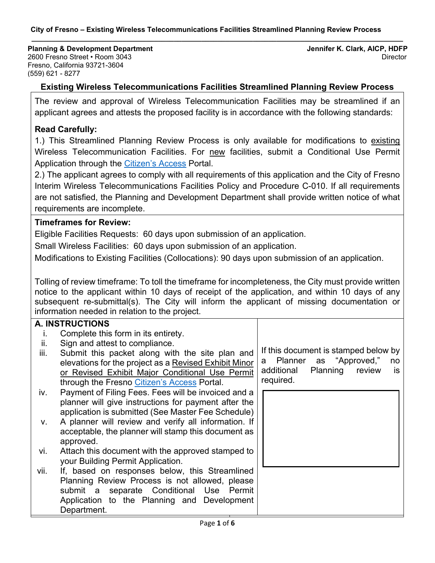#### **City of Fresno – Existing Wireless Telecommunications Facilities Streamlined Planning Review Process**

**Planning & Development Department Jennifer K. Clark, AICP, HDFP** 2600 Fresno Street • Room 3043 Director Fresno, California 93721-3604 (559) 621 - 8277

## **Existing Wireless Telecommunications Facilities Streamlined Planning Review Process**

**\_\_\_\_\_\_\_\_\_\_\_\_\_\_\_\_\_\_\_\_\_\_\_\_\_\_\_\_\_\_\_\_\_\_\_\_\_\_\_\_\_\_\_\_\_\_\_\_\_\_\_\_\_\_\_\_\_\_\_\_\_\_\_\_\_\_\_\_\_\_\_\_\_\_\_\_\_\_\_\_\_\_\_\_\_\_\_\_\_\_\_\_\_\_**

The review and approval of Wireless Telecommunication Facilities may be streamlined if an applicant agrees and attests the proposed facility is in accordance with the following standards:

#### **Read Carefully:**

1.) This Streamlined Planning Review Process is only available for modifications to existing Wireless Telecommunication Facilities. For new facilities, submit a Conditional Use Permit Application through the [Citizen's Access](https://lmsaca.fresno.gov/CitizenAccess/Default.aspx) Portal.

2.) The applicant agrees to comply with all requirements of this application and the City of Fresno Interim Wireless Telecommunications Facilities Policy and Procedure C-010. If all requirements are not satisfied, the Planning and Development Department shall provide written notice of what requirements are incomplete.

#### **Timeframes for Review:**

Eligible Facilities Requests: 60 days upon submission of an application.

Small Wireless Facilities: 60 days upon submission of an application.

Modifications to Existing Facilities (Collocations): 90 days upon submission of an application.

Tolling of review timeframe: To toll the timeframe for incompleteness, the City must provide written notice to the applicant within 10 days of receipt of the application, and within 10 days of any subsequent re-submittal(s). The City will inform the applicant of missing documentation or information needed in relation to the project.

#### **A. INSTRUCTIONS**

- i. Complete this form in its entirety.
- ii. Sign and attest to compliance.
- iii. Submit this packet along with the site plan and elevations for the project as a Revised Exhibit Minor or Revised Exhibit Major Conditional Use Permit through the Fresno [Citizen's Access](https://lmsaca.fresno.gov/CitizenAccess/Default.aspx) Portal.
- iv. Payment of Filing Fees. Fees will be invoiced and a planner will give instructions for payment after the application is submitted (See Master Fee Schedule)
- v. A planner will review and verify all information. If acceptable, the planner will stamp this document as approved.
- vi. Attach this document with the approved stamped to your Building Permit Application.
- vii. If, based on responses below, this Streamlined Planning Review Process is not allowed, please submit a separate Conditional Use Permit Application to the Planning and Development Department.

If this document is stamped below by a Planner as "Approved," no additional Planning review is required.

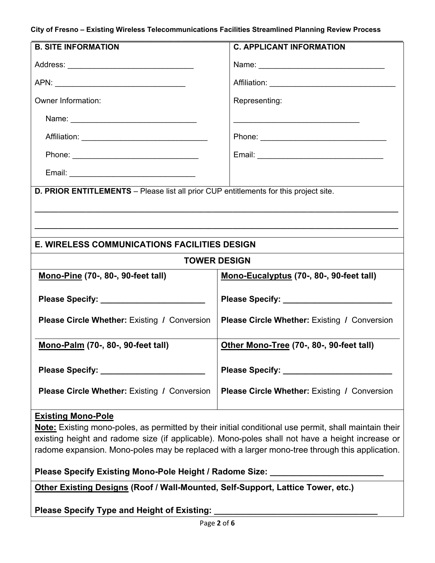#### **City of Fresno – Existing Wireless Telecommunications Facilities Streamlined Planning Review Process**

| <b>B. SITE INFORMATION</b>                                                            | <b>C. APPLICANT INFORMATION</b>                                                                                  |  |
|---------------------------------------------------------------------------------------|------------------------------------------------------------------------------------------------------------------|--|
|                                                                                       |                                                                                                                  |  |
|                                                                                       |                                                                                                                  |  |
| Owner Information:                                                                    | Representing:                                                                                                    |  |
|                                                                                       | and the control of the control of the control of the control of the control of the control of the control of the |  |
|                                                                                       |                                                                                                                  |  |
|                                                                                       |                                                                                                                  |  |
|                                                                                       |                                                                                                                  |  |
| D. PRIOR ENTITLEMENTS - Please list all prior CUP entitlements for this project site. |                                                                                                                  |  |
|                                                                                       |                                                                                                                  |  |
|                                                                                       |                                                                                                                  |  |
| <b>E. WIRELESS COMMUNICATIONS FACILITIES DESIGN</b>                                   |                                                                                                                  |  |
| <b>TOWER DESIGN</b>                                                                   |                                                                                                                  |  |
| <b>Mono-Pine (70-, 80-, 90-feet tall)</b>                                             | Mono-Eucalyptus (70-, 80-, 90-feet tall)                                                                         |  |
|                                                                                       |                                                                                                                  |  |
|                                                                                       |                                                                                                                  |  |
| <b>Please Circle Whether: Existing / Conversion</b>                                   | <b>Please Circle Whether: Existing / Conversion</b>                                                              |  |
| Mono-Palm (70-, 80-, 90-feet tall)                                                    | Other Mono-Tree (70-, 80-, 90-feet tall)                                                                         |  |
|                                                                                       |                                                                                                                  |  |
|                                                                                       |                                                                                                                  |  |
| <b>Please Circle Whether: Existing / Conversion</b>                                   | <b>Please Circle Whether: Existing / Conversion</b>                                                              |  |
|                                                                                       |                                                                                                                  |  |

## **Existing Mono-Pole**

**Note:** Existing mono-poles, as permitted by their initial conditional use permit, shall maintain their existing height and radome size (if applicable). Mono-poles shall not have a height increase or radome expansion. Mono-poles may be replaced with a larger mono-tree through this application.

**Please Specify Existing Mono-Pole Height / Radome Size: \_\_\_\_\_\_\_\_\_\_\_\_\_\_\_\_\_\_\_\_\_\_\_\_\_**

**Other Existing Designs (Roof / Wall-Mounted, Self-Support, Lattice Tower, etc.)**

**Please Specify Type and Height of Existing:**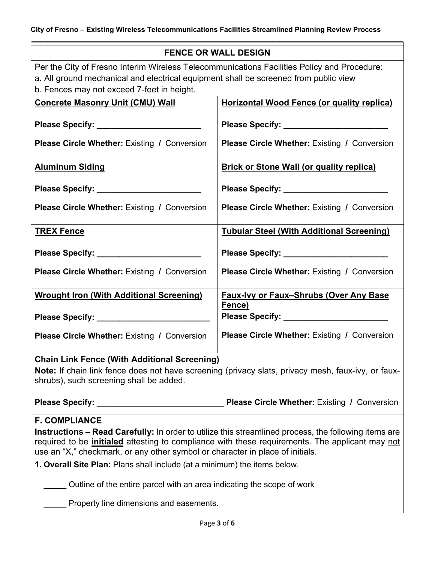**\_\_\_\_\_\_\_\_\_\_\_\_\_\_\_\_\_\_\_\_\_\_\_\_\_\_\_\_\_\_\_\_\_\_\_\_\_\_\_\_\_\_\_\_\_\_\_\_\_\_\_\_\_\_\_\_\_\_\_\_\_\_\_\_\_\_\_\_\_\_\_\_\_\_\_\_\_\_\_\_\_\_\_\_\_\_\_\_\_\_\_\_\_\_**

| <b>FENCE OR WALL DESIGN</b>                                                                                                                                                                                                                                                                                             |                                                                                                    |  |
|-------------------------------------------------------------------------------------------------------------------------------------------------------------------------------------------------------------------------------------------------------------------------------------------------------------------------|----------------------------------------------------------------------------------------------------|--|
| Per the City of Fresno Interim Wireless Telecommunications Facilities Policy and Procedure:<br>a. All ground mechanical and electrical equipment shall be screened from public view<br>b. Fences may not exceed 7-feet in height.                                                                                       |                                                                                                    |  |
| <b>Concrete Masonry Unit (CMU) Wall</b>                                                                                                                                                                                                                                                                                 | <b>Horizontal Wood Fence (or quality replica)</b>                                                  |  |
| <b>Please Circle Whether: Existing / Conversion</b>                                                                                                                                                                                                                                                                     | Please Specify: ___________________________<br><b>Please Circle Whether: Existing / Conversion</b> |  |
| <b>Aluminum Siding</b>                                                                                                                                                                                                                                                                                                  | <b>Brick or Stone Wall (or quality replica)</b>                                                    |  |
| Please Specify: ________________________                                                                                                                                                                                                                                                                                |                                                                                                    |  |
| Please Circle Whether: Existing / Conversion                                                                                                                                                                                                                                                                            | <b>Please Circle Whether: Existing / Conversion</b>                                                |  |
| <b>TREX Fence</b>                                                                                                                                                                                                                                                                                                       | <b>Tubular Steel (With Additional Screening)</b>                                                   |  |
| Please Specify: ________________________                                                                                                                                                                                                                                                                                |                                                                                                    |  |
| <b>Please Circle Whether: Existing / Conversion</b>                                                                                                                                                                                                                                                                     | <b>Please Circle Whether: Existing / Conversion</b>                                                |  |
| <b>Wrought Iron (With Additional Screening)</b>                                                                                                                                                                                                                                                                         | <b>Faux-Ivy or Faux-Shrubs (Over Any Base</b>                                                      |  |
|                                                                                                                                                                                                                                                                                                                         | Fence)                                                                                             |  |
| <b>Please Circle Whether: Existing / Conversion</b>                                                                                                                                                                                                                                                                     | Please Circle Whether: Existing / Conversion                                                       |  |
| <b>Chain Link Fence (With Additional Screening)</b><br>Note: If chain link fence does not have screening (privacy slats, privacy mesh, faux-ivy, or faux-<br>shrubs), such screening shall be added.                                                                                                                    |                                                                                                    |  |
|                                                                                                                                                                                                                                                                                                                         |                                                                                                    |  |
| <b>F. COMPLIANCE</b><br>Instructions - Read Carefully: In order to utilize this streamlined process, the following items are<br>required to be <i>initialed</i> attesting to compliance with these requirements. The applicant may not<br>use an "X," checkmark, or any other symbol or character in place of initials. |                                                                                                    |  |
| 1. Overall Site Plan: Plans shall include (at a minimum) the items below.                                                                                                                                                                                                                                               |                                                                                                    |  |
| Outline of the entire parcel with an area indicating the scope of work                                                                                                                                                                                                                                                  |                                                                                                    |  |
| Property line dimensions and easements.                                                                                                                                                                                                                                                                                 |                                                                                                    |  |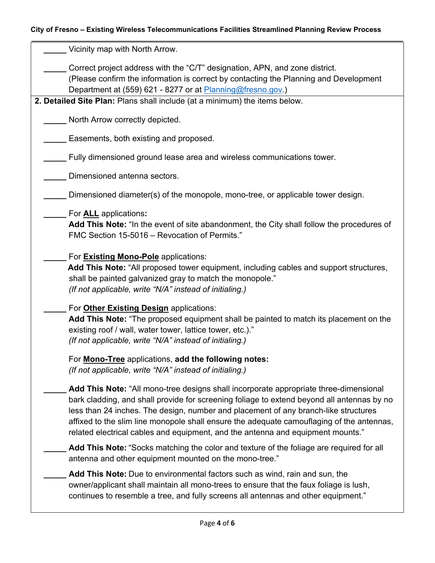## **City of Fresno – Existing Wireless Telecommunications Facilities Streamlined Planning Review Process**

| Vicinity map with North Arrow.                                                                                                                                                                                                                                                                                                                                                                                                                             |
|------------------------------------------------------------------------------------------------------------------------------------------------------------------------------------------------------------------------------------------------------------------------------------------------------------------------------------------------------------------------------------------------------------------------------------------------------------|
| Correct project address with the "C/T" designation, APN, and zone district.<br>(Please confirm the information is correct by contacting the Planning and Development<br>Department at (559) 621 - 8277 or at Planning@fresno.gov.)                                                                                                                                                                                                                         |
| 2. Detailed Site Plan: Plans shall include (at a minimum) the items below.                                                                                                                                                                                                                                                                                                                                                                                 |
| North Arrow correctly depicted.                                                                                                                                                                                                                                                                                                                                                                                                                            |
| Easements, both existing and proposed.                                                                                                                                                                                                                                                                                                                                                                                                                     |
| Fully dimensioned ground lease area and wireless communications tower.                                                                                                                                                                                                                                                                                                                                                                                     |
| Dimensioned antenna sectors.                                                                                                                                                                                                                                                                                                                                                                                                                               |
| Dimensioned diameter(s) of the monopole, mono-tree, or applicable tower design.                                                                                                                                                                                                                                                                                                                                                                            |
| For <b>ALL</b> applications:<br>Add This Note: "In the event of site abandonment, the City shall follow the procedures of<br>FMC Section 15-5016 - Revocation of Permits."                                                                                                                                                                                                                                                                                 |
| For <b>Existing Mono-Pole</b> applications:<br>Add This Note: "All proposed tower equipment, including cables and support structures,<br>shall be painted galvanized gray to match the monopole."<br>(If not applicable, write "N/A" instead of initialing.)                                                                                                                                                                                               |
| For Other Existing Design applications:<br><b>Add This Note:</b> "The proposed equipment shall be painted to match its placement on the<br>existing roof / wall, water tower, lattice tower, etc.)."<br>(If not applicable, write "N/A" instead of initialing.)                                                                                                                                                                                            |
| For <b>Mono-Tree</b> applications, add the following notes:<br>(If not applicable, write "N/A" instead of initialing.)                                                                                                                                                                                                                                                                                                                                     |
| Add This Note: "All mono-tree designs shall incorporate appropriate three-dimensional<br>bark cladding, and shall provide for screening foliage to extend beyond all antennas by no<br>less than 24 inches. The design, number and placement of any branch-like structures<br>affixed to the slim line monopole shall ensure the adequate camouflaging of the antennas,<br>related electrical cables and equipment, and the antenna and equipment mounts." |
| Add This Note: "Socks matching the color and texture of the foliage are required for all<br>antenna and other equipment mounted on the mono-tree."                                                                                                                                                                                                                                                                                                         |
| Add This Note: Due to environmental factors such as wind, rain and sun, the<br>owner/applicant shall maintain all mono-trees to ensure that the faux foliage is lush,<br>continues to resemble a tree, and fully screens all antennas and other equipment."                                                                                                                                                                                                |
|                                                                                                                                                                                                                                                                                                                                                                                                                                                            |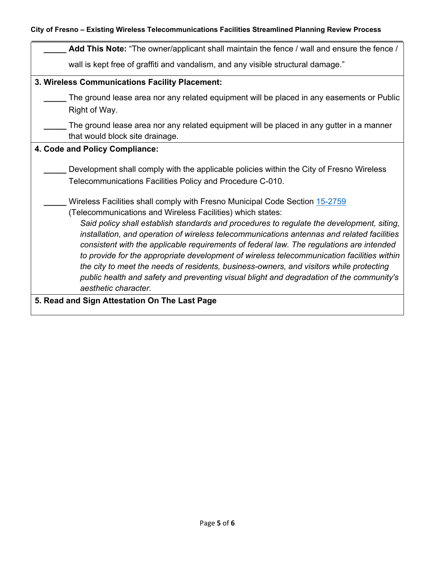| Add This Note: "The owner/applicant shall maintain the fence / wall and ensure the fence /                                                                                                                                                                                                                                                                                                                                                                                                                                                                                                                                                                                                                                                    |  |
|-----------------------------------------------------------------------------------------------------------------------------------------------------------------------------------------------------------------------------------------------------------------------------------------------------------------------------------------------------------------------------------------------------------------------------------------------------------------------------------------------------------------------------------------------------------------------------------------------------------------------------------------------------------------------------------------------------------------------------------------------|--|
| wall is kept free of graffiti and vandalism, and any visible structural damage."                                                                                                                                                                                                                                                                                                                                                                                                                                                                                                                                                                                                                                                              |  |
| 3. Wireless Communications Facility Placement:                                                                                                                                                                                                                                                                                                                                                                                                                                                                                                                                                                                                                                                                                                |  |
| The ground lease area nor any related equipment will be placed in any easements or Public<br>Right of Way.                                                                                                                                                                                                                                                                                                                                                                                                                                                                                                                                                                                                                                    |  |
| The ground lease area nor any related equipment will be placed in any gutter in a manner<br>that would block site drainage.                                                                                                                                                                                                                                                                                                                                                                                                                                                                                                                                                                                                                   |  |
| 4. Code and Policy Compliance:                                                                                                                                                                                                                                                                                                                                                                                                                                                                                                                                                                                                                                                                                                                |  |
| Development shall comply with the applicable policies within the City of Fresno Wireless<br>Telecommunications Facilities Policy and Procedure C-010.                                                                                                                                                                                                                                                                                                                                                                                                                                                                                                                                                                                         |  |
| Wireless Facilities shall comply with Fresno Municipal Code Section 15-2759<br>(Telecommunications and Wireless Facilities) which states:<br>Said policy shall establish standards and procedures to regulate the development, siting,<br>installation, and operation of wireless telecommunications antennas and related facilities<br>consistent with the applicable requirements of federal law. The regulations are intended<br>to provide for the appropriate development of wireless telecommunication facilities within<br>the city to meet the needs of residents, business-owners, and visitors while protecting<br>public health and safety and preventing visual blight and degradation of the community's<br>aesthetic character. |  |
| 5. Read and Sign Attestation On The Last Page                                                                                                                                                                                                                                                                                                                                                                                                                                                                                                                                                                                                                                                                                                 |  |